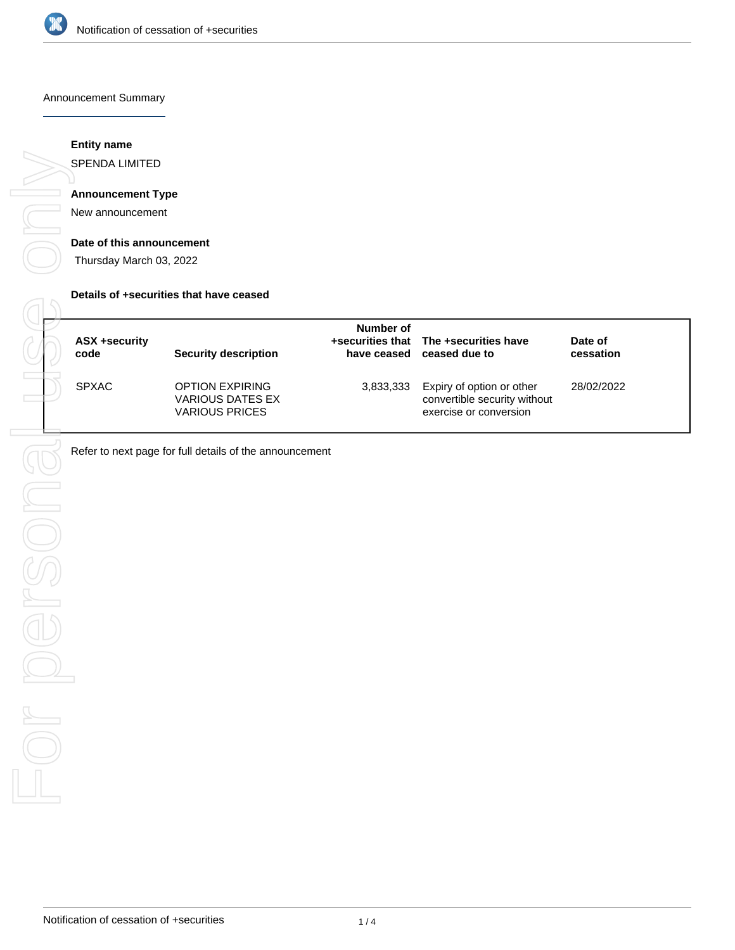

### Announcement Summary

# **Entity name**

SPENDA LIMITED

# **Announcement Type**

New announcement

#### **Date of this announcement**

Thursday March 03, 2022

#### **Details of +securities that have ceased**

| ASX +security<br>code | Security description                                                       | Number of | +securities that The +securities have<br>have ceased ceased due to                  | Date of<br>cessation |
|-----------------------|----------------------------------------------------------------------------|-----------|-------------------------------------------------------------------------------------|----------------------|
| <b>SPXAC</b>          | <b>OPTION EXPIRING</b><br><b>VARIOUS DATES EX</b><br><b>VARIOUS PRICES</b> | 3,833,333 | Expiry of option or other<br>convertible security without<br>exercise or conversion | 28/02/2022           |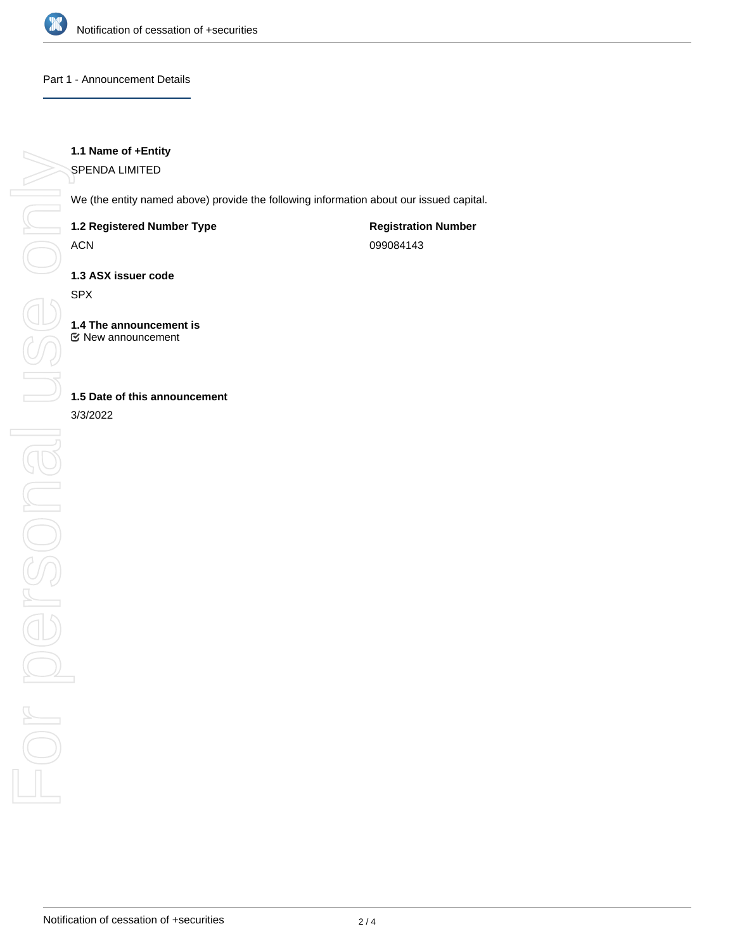

## Part 1 - Announcement Details

# **1.1 Name of +Entity**

SPENDA LIMITED

We (the entity named above) provide the following information about our issued capital.

# **1.2 Registered Number Type**

ACN

**Registration Number** 099084143

**1.3 ASX issuer code**

SPX

**1.4 The announcement is** New announcement

# **1.5 Date of this announcement**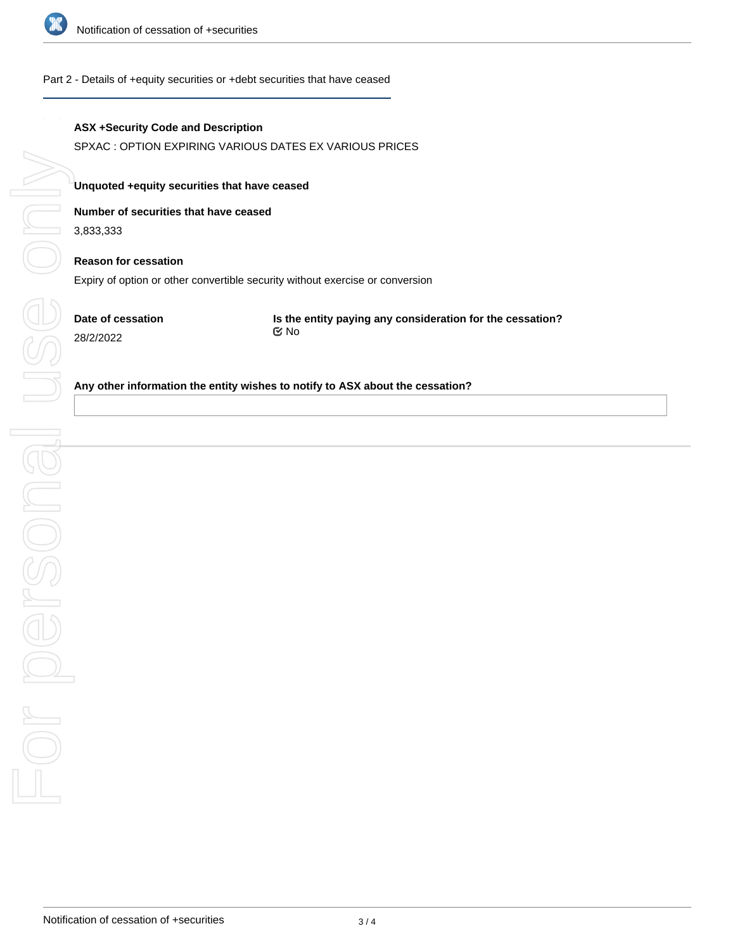

## Part 2 - Details of +equity securities or +debt securities that have ceased

# **ASX +Security Code and Description**

SPXAC : OPTION EXPIRING VARIOUS DATES EX VARIOUS PRICES

### **Unquoted +equity securities that have ceased**

## **Number of securities that have ceased**

3,833,333

# **Reason for cessation**

Expiry of option or other convertible security without exercise or conversion

**Date of cessation** 28/2/2022

**Is the entity paying any consideration for the cessation?** No

#### **Any other information the entity wishes to notify to ASX about the cessation?**